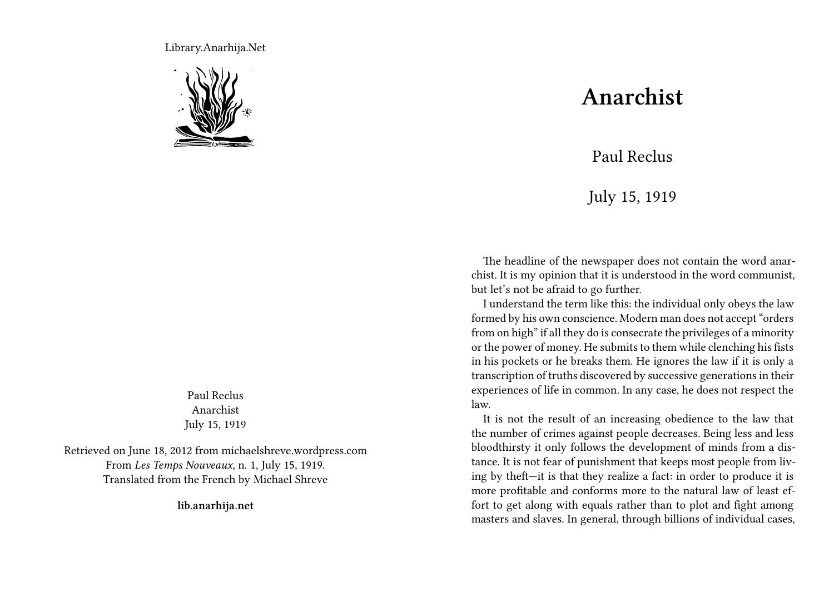Library.Anarhija.Net



Paul Reclus Anarchist July 15, 1919

Retrieved on June 18, 2012 from michaelshreve.wordpress.com From *Les Temps Nouveaux*, n. 1, July 15, 1919. Translated from the French by Michael Shreve

**lib.anarhija.net**

## **Anarchist**

## Paul Reclus

## July 15, 1919

The headline of the newspaper does not contain the word anarchist. It is my opinion that it is understood in the word communist, but let's not be afraid to go further.

I understand the term like this: the individual only obeys the law formed by his own conscience. Modern man does not accept "orders from on high" if all they do is consecrate the privileges of a minority or the power of money. He submits to them while clenching his fists in his pockets or he breaks them. He ignores the law if it is only a transcription of truths discovered by successive generations in their experiences of life in common. In any case, he does not respect the law.

It is not the result of an increasing obedience to the law that the number of crimes against people decreases. Being less and less bloodthirsty it only follows the development of minds from a distance. It is not fear of punishment that keeps most people from living by theft—it is that they realize a fact: in order to produce it is more profitable and conforms more to the natural law of least effort to get along with equals rather than to plot and fight among masters and slaves. In general, through billions of individual cases,